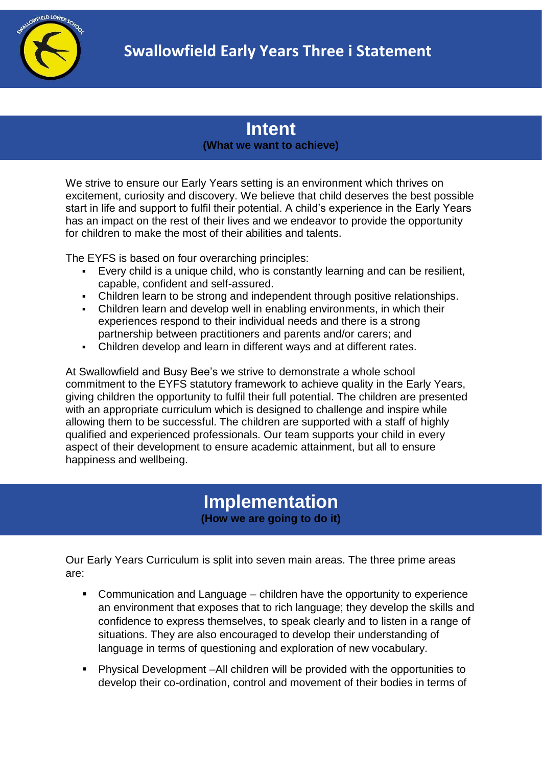

## **Intent (What we want to achieve)**

We strive to ensure our Early Years setting is an environment which thrives on excitement, curiosity and discovery. We believe that child deserves the best possible start in life and support to fulfil their potential. A child's experience in the Early Years has an impact on the rest of their lives and we endeavor to provide the opportunity for children to make the most of their abilities and talents.

The EYFS is based on four overarching principles:

- Every child is a unique child, who is constantly learning and can be resilient, capable, confident and self-assured.
- Children learn to be strong and independent through positive relationships.
- Children learn and develop well in enabling environments, in which their experiences respond to their individual needs and there is a strong partnership between practitioners and parents and/or carers; and
- Children develop and learn in different ways and at different rates.

At Swallowfield and Busy Bee's we strive to demonstrate a whole school commitment to the EYFS statutory framework to achieve quality in the Early Years, giving children the opportunity to fulfil their full potential. The children are presented with an appropriate curriculum which is designed to challenge and inspire while allowing them to be successful. The children are supported with a staff of highly qualified and experienced professionals. Our team supports your child in every aspect of their development to ensure academic attainment, but all to ensure happiness and wellbeing.

## **Implementation (How we are going to do it)**

Our Early Years Curriculum is split into seven main areas. The three prime areas are:

- Communication and Language children have the opportunity to experience an environment that exposes that to rich language; they develop the skills and confidence to express themselves, to speak clearly and to listen in a range of situations. They are also encouraged to develop their understanding of language in terms of questioning and exploration of new vocabulary.
- Physical Development –All children will be provided with the opportunities to develop their co-ordination, control and movement of their bodies in terms of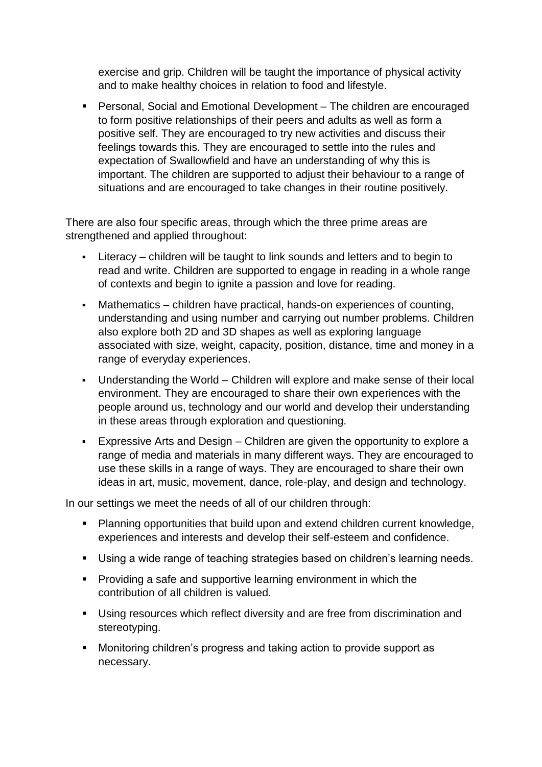exercise and grip. Children will be taught the importance of physical activity and to make healthy choices in relation to food and lifestyle.

■ Personal, Social and Emotional Development – The children are encouraged to form positive relationships of their peers and adults as well as form a positive self. They are encouraged to try new activities and discuss their feelings towards this. They are encouraged to settle into the rules and expectation of Swallowfield and have an understanding of why this is important. The children are supported to adjust their behaviour to a range of situations and are encouraged to take changes in their routine positively.

There are also four specific areas, through which the three prime areas are strengthened and applied throughout:

- Literacy children will be taught to link sounds and letters and to begin to read and write. Children are supported to engage in reading in a whole range of contexts and begin to ignite a passion and love for reading.
- Mathematics children have practical, hands-on experiences of counting, understanding and using number and carrying out number problems. Children also explore both 2D and 3D shapes as well as exploring language associated with size, weight, capacity, position, distance, time and money in a range of everyday experiences.
- Understanding the World Children will explore and make sense of their local environment. They are encouraged to share their own experiences with the people around us, technology and our world and develop their understanding in these areas through exploration and questioning.
- Expressive Arts and Design Children are given the opportunity to explore a range of media and materials in many different ways. They are encouraged to use these skills in a range of ways. They are encouraged to share their own ideas in art, music, movement, dance, role-play, and design and technology.

In our settings we meet the needs of all of our children through:

- Planning opportunities that build upon and extend children current knowledge, experiences and interests and develop their self-esteem and confidence.
- Using a wide range of teaching strategies based on children's learning needs.
- **•** Providing a safe and supportive learning environment in which the contribution of all children is valued.
- Using resources which reflect diversity and are free from discrimination and stereotyping.
- Monitoring children's progress and taking action to provide support as necessary.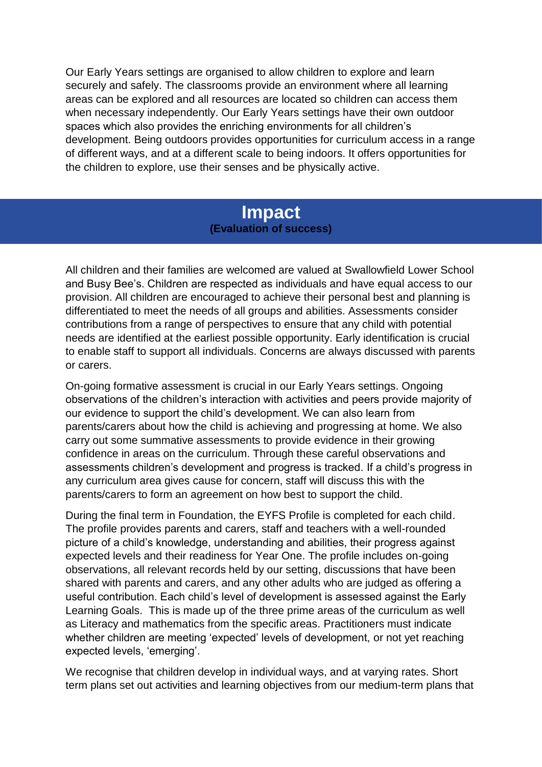Our Early Years settings are organised to allow children to explore and learn securely and safely. The classrooms provide an environment where all learning areas can be explored and all resources are located so children can access them when necessary independently. Our Early Years settings have their own outdoor spaces which also provides the enriching environments for all children's development. Being outdoors provides opportunities for curriculum access in a range of different ways, and at a different scale to being indoors. It offers opportunities for the children to explore, use their senses and be physically active.

## **Impact (Evaluation of success)**

All children and their families are welcomed are valued at Swallowfield Lower School and Busy Bee's. Children are respected as individuals and have equal access to our provision. All children are encouraged to achieve their personal best and planning is differentiated to meet the needs of all groups and abilities. Assessments consider contributions from a range of perspectives to ensure that any child with potential needs are identified at the earliest possible opportunity. Early identification is crucial to enable staff to support all individuals. Concerns are always discussed with parents or carers.

On-going formative assessment is crucial in our Early Years settings. Ongoing observations of the children's interaction with activities and peers provide majority of our evidence to support the child's development. We can also learn from parents/carers about how the child is achieving and progressing at home. We also carry out some summative assessments to provide evidence in their growing confidence in areas on the curriculum. Through these careful observations and assessments children's development and progress is tracked. If a child's progress in any curriculum area gives cause for concern, staff will discuss this with the parents/carers to form an agreement on how best to support the child.

During the final term in Foundation, the EYFS Profile is completed for each child. The profile provides parents and carers, staff and teachers with a well-rounded picture of a child's knowledge, understanding and abilities, their progress against expected levels and their readiness for Year One. The profile includes on-going observations, all relevant records held by our setting, discussions that have been shared with parents and carers, and any other adults who are judged as offering a useful contribution. Each child's level of development is assessed against the Early Learning Goals. This is made up of the three prime areas of the curriculum as well as Literacy and mathematics from the specific areas. Practitioners must indicate whether children are meeting 'expected' levels of development, or not yet reaching expected levels, 'emerging'.

We recognise that children develop in individual ways, and at varying rates. Short term plans set out activities and learning objectives from our medium-term plans that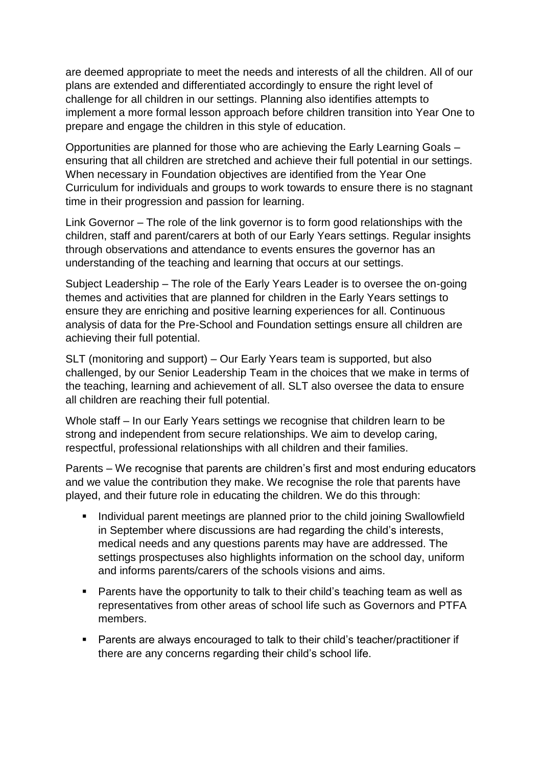are deemed appropriate to meet the needs and interests of all the children. All of our plans are extended and differentiated accordingly to ensure the right level of challenge for all children in our settings. Planning also identifies attempts to implement a more formal lesson approach before children transition into Year One to prepare and engage the children in this style of education.

Opportunities are planned for those who are achieving the Early Learning Goals – ensuring that all children are stretched and achieve their full potential in our settings. When necessary in Foundation objectives are identified from the Year One Curriculum for individuals and groups to work towards to ensure there is no stagnant time in their progression and passion for learning.

Link Governor – The role of the link governor is to form good relationships with the children, staff and parent/carers at both of our Early Years settings. Regular insights through observations and attendance to events ensures the governor has an understanding of the teaching and learning that occurs at our settings.

Subject Leadership – The role of the Early Years Leader is to oversee the on-going themes and activities that are planned for children in the Early Years settings to ensure they are enriching and positive learning experiences for all. Continuous analysis of data for the Pre-School and Foundation settings ensure all children are achieving their full potential.

SLT (monitoring and support) – Our Early Years team is supported, but also challenged, by our Senior Leadership Team in the choices that we make in terms of the teaching, learning and achievement of all. SLT also oversee the data to ensure all children are reaching their full potential.

Whole staff – In our Early Years settings we recognise that children learn to be strong and independent from secure relationships. We aim to develop caring, respectful, professional relationships with all children and their families.

Parents – We recognise that parents are children's first and most enduring educators and we value the contribution they make. We recognise the role that parents have played, and their future role in educating the children. We do this through:

- Individual parent meetings are planned prior to the child joining Swallowfield in September where discussions are had regarding the child's interests, medical needs and any questions parents may have are addressed. The settings prospectuses also highlights information on the school day, uniform and informs parents/carers of the schools visions and aims.
- Parents have the opportunity to talk to their child's teaching team as well as representatives from other areas of school life such as Governors and PTFA members.
- Parents are always encouraged to talk to their child's teacher/practitioner if there are any concerns regarding their child's school life.